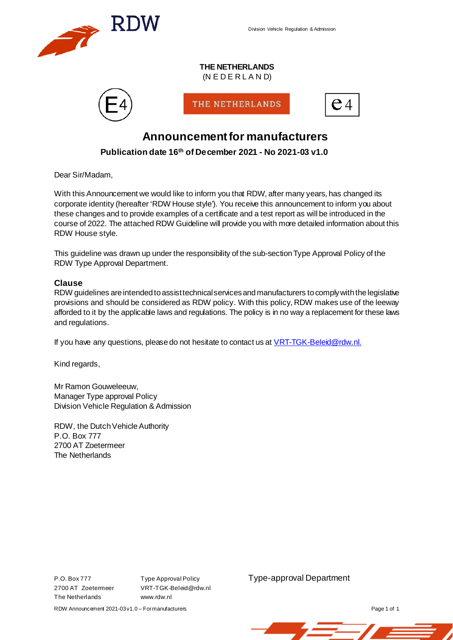

Division Vehicle Regulation & Admission

#### **THE NETHERLANDS**  $(N E D E R L A N D)$



THE NETHERLANDS



## **Announcementfor manufacturers**

## **Publication date 16th of December 2021 - No 2021-03 v1.0**

Dear Sir/Madam,

With this Announcement we would like to inform you that RDW, after many years, has changed its corporate identity (hereafter 'RDW House style'). You receive this announcement to inform you about these changes and to provide examples of a certificate and a test report as will be introduced in the course of 2022. The attached RDW Guideline will provide you with more detailed information about this RDW House style.

This guideline was drawn up under the responsibility of the sub-section Type Approval Policy of the RDW Type Approval Department.

#### **Clause**

RDW guidelines are intended to assist technical services and manufacturers to comply with the legislative provisions and should be considered as RDW policy. With this policy, RDW makes use of the leeway afforded to it by the applicable laws and regulations. The policy is in no way a replacement for these laws and regulations.

If you have any questions, please do not hesitate to contact us a[t VRT-TGK-Beleid@rdw.nl](mailto:VRT-TGK-Beleid@rdw.nl).

Kind regards,

Mr Ramon Gouweleeuw, Manager Type approval Policy Division Vehicle Regulation & Admission

RDW, the Dutch Vehicle Authority P.O. Box 777 2700 AT Zoetermeer The Netherlands

The Netherlands www.rdw.nl

VRT-TGK-Beleid@rdw.nl

P.O. Box 777 Type Approval Policy **Type-approval Department**<br>2700 AT Zoetermeer VRT-TGK-Beleid@rdw.nl

RDW Announcement 2021-03v1.0 – Formanufacturers **Page 1 of 1** and 2021-03v1.0 – Formanufacturers **Page 1** of 1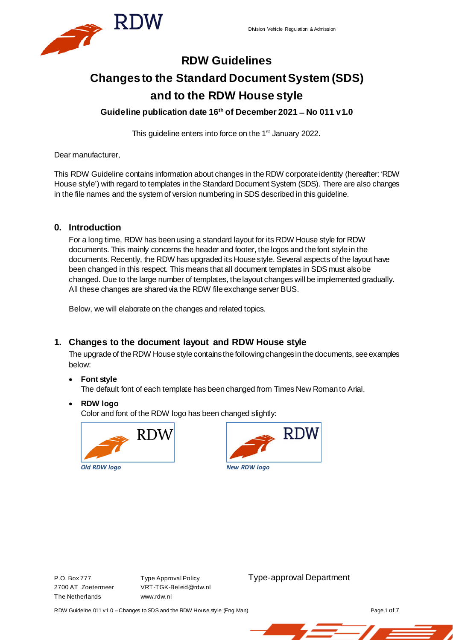

# **RDW Guidelines Changes to the Standard Document System (SDS) and to the RDW House style**

**Guideline publication date 16th of December 2021 ̶No 011 v1.0**

This guideline enters into force on the 1<sup>st</sup> January 2022.

Dear manufacturer,

This RDW Guideline contains information about changes in the RDW corporate identity (hereafter: 'RDW House style') with regard to templates in the Standard Document System (SDS). There are also changes in the file names and the system of version numbering in SDS described in this guideline.

## **0. Introduction**

For a long time, RDW has been using a standard layout for its RDW House style for RDW documents. This mainly concerns the header and footer, the logos and the font style in the documents. Recently, the RDW has upgraded its House style. Several aspects of the layout have been changed in this respect. This means that all document templates in SDS must also be changed. Due to the large number of templates, the layout changes will be implemented gradually. All these changes are shared via the RDW file exchange server BUS.

Below, we will elaborate on the changes and related topics.

## **1. Changes to the document layout and RDW House style**

The upgrade of the RDW House style contains the following changes in the documents, see examples below:

## • **Font style**

The default font of each template has been changed from Times New Roman to Arial.

• **RDW logo**

Color and font of the RDW logo has been changed slightly:





The Netherlands www.rdw.nl

2700 AT Zoetermeer VRT-TGK-Beleid@rdw.nl

P.O. Box 777 Type Approval Policy Type-approval Department

RDW Guideline 011 v1.0 - Changes to SDS and the RDW House style (Eng Man) Page 1 of 7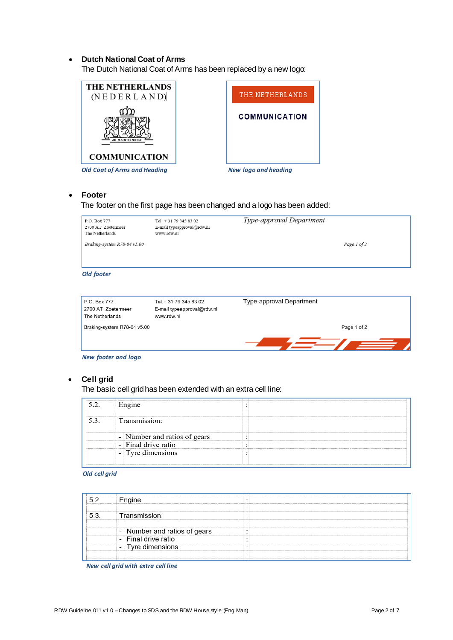#### • **Dutch National Coat of Arms**

The Dutch National Coat of Arms has been replaced by a new logo:





#### • **Footer**

#### The footer on the first page has been changed and a logo has been added:

| P.O. Box 777<br>2700 AT Zoetermeer<br>The Netherlands | Tel. $+31$ 79 345 83 02<br>E-mail typeapproval@rdw.nl<br>www.rdw.nl | Type-approval Department |             |
|-------------------------------------------------------|---------------------------------------------------------------------|--------------------------|-------------|
| Braking-system $R$ 78-04 v5.00                        |                                                                     |                          | Page 1 of 2 |

#### *Old footer*

| P.O. Box 777<br>2700 AT Zoetermeer<br>The Netherlands | Tel. + 31 79 345 83 02<br>E-mail typeapproval@rdw.nl<br>www.rdw.nl | Type-approval Department |
|-------------------------------------------------------|--------------------------------------------------------------------|--------------------------|
| Braking-system R78-04 v5.00                           |                                                                    | Page 1 of 2              |
|                                                       |                                                                    |                          |

*New footer and logo*

### • **Cell grid**

The basic cell grid has been extended with an extra cell line:

| Number and ratios of gears<br>$\overline{\phantom{0}}$ |  |
|--------------------------------------------------------|--|
| l drive ratio                                          |  |
| i vre dimensions<br>$\overline{\phantom{a}}$           |  |

#### *Old cell grid*

| and ratios of |  |
|---------------|--|
|               |  |
|               |  |

*New cell grid with extra cell line*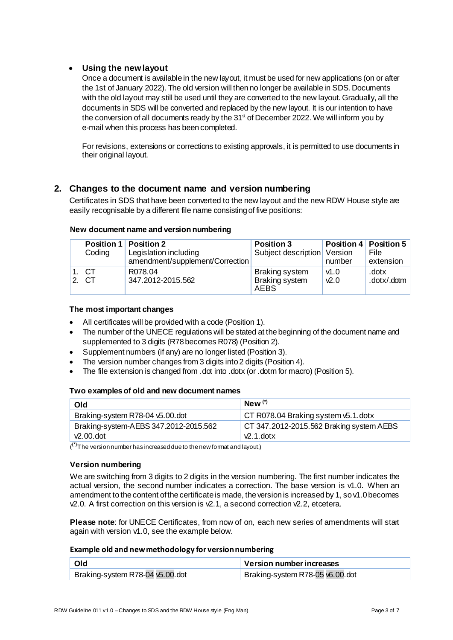## • **Using the new layout**

Once a document is available in the new layout, it must be used for new applications (on or after the 1st of January 2022). The old version will then no longer be available in SDS. Documents with the old layout may still be used until they are converted to the new layout. Gradually, all the documents in SDS will be converted and replaced by the new layout. It is our intention to have the conversion of all documents ready by the  $31<sup>st</sup>$  of December 2022. We will inform you by e-mail when this process has been completed.

For revisions, extensions or corrections to existing approvals, it is permitted to use documents in their original layout.

## **2. Changes to the document name and version numbering**

Certificates in SDS that have been converted to the new layout and the new RDW House style are easily recognisable by a different file name consisting of five positions:

|   | Coding   | <b>Position 1 Position 2</b><br>Legislation including<br>amendment/supplement/Correction | <b>Position 3</b><br>Subject description Version | number            | <b>Position 4 Position 5</b><br><b>File</b><br>extension |
|---|----------|------------------------------------------------------------------------------------------|--------------------------------------------------|-------------------|----------------------------------------------------------|
| 2 | CT<br>CT | R078.04<br>347.2012-2015.562                                                             | Braking system<br>Braking system<br>AEBS         | v1.0<br>$\nu$ 2.0 | .dotx<br>.dotx/.dotm                                     |

#### **New document name and version numbering**

#### **The most important changes**

- All certificates will be provided with a code (Position 1).
- The number of the UNECE regulations will be stated at the beginning of the document name and supplemented to 3 digits (R78 becomes R078) (Position 2).
- Supplement numbers (if any) are no longer listed (Position 3).
- The version number changes from 3 digits into 2 digits (Position 4).
- The file extension is changed from .dot into .dotx (or .dotm for macro) (Position 5).

#### **Two examples of old and new document names**

| Old                                   | $New(*)$                                 |
|---------------------------------------|------------------------------------------|
| Braking-system R78-04 v5.00.dot       | CT R078.04 Braking system v5.1.dotx      |
| Braking-system-AEBS 347.2012-2015.562 | CT 347.2012-2015.562 Braking system AEBS |
| $\nu$ 2.00.dot                        | $\sqrt{2}$ .1. dotx                      |

 $\mathcal{O}^{(\star)}$ The version number has increased due to the new format and layout.)

#### **Version numbering**

We are switching from 3 digits to 2 digits in the version numbering. The first number indicates the actual version, the second number indicates a correction. The base version is v1.0. When an amendment to the content of the certificate is made, the version is increased by 1, so v1.0 becomes  $\sqrt{2}$ .0. A first correction on this version is  $\sqrt{2}$ .1, a second correction  $\sqrt{2}$ .2, etcetera.

**Please note**: for UNECE Certificates, from now of on, each new series of amendments will start again with version v1.0, see the example below.

#### **Example old and new methodology for version numbering**

| Old                             | Version number increases        |  |  |
|---------------------------------|---------------------------------|--|--|
| Braking-system R78-04 v5.00.dot | Braking-system R78-05 v6.00 dot |  |  |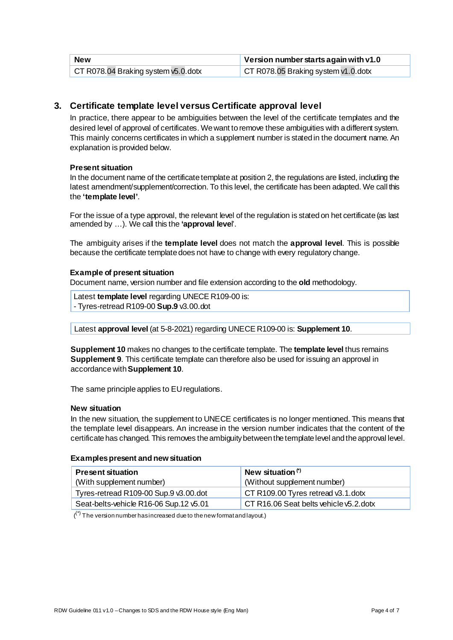| <b>New</b>                          | Version number starts again with $v1.0$ |
|-------------------------------------|-----------------------------------------|
| CT R078.04 Braking system v5.0.dotx | CT R078.05 Braking system v1.0.dotx     |

## **3. Certificate template level versus Certificate approval level**

In practice, there appear to be ambiguities between the level of the certificate templates and the desired level of approval of certificates. We want to remove these ambiguities with a different system. This mainly concerns certificates in which a supplement number is stated in the document name. An explanation is provided below.

#### **Present situation**

In the document name of the certificate template at position 2, the regulations are listed, including the latest amendment/supplement/correction. To this level, the certificate has been adapted. We call this the **'template level'**.

For the issue of a type approval, the relevant level of the regulation is stated on het certificate (as last amended by …). We call this the **'approval leve**l'.

The ambiguity arises if the **template level** does not match the **approval level**. This is possible because the certificate template does not have to change with every regulatory change.

#### **Example of present situation**

Document name, version number and file extension according to the **old** methodology.

Latest **template level** regarding UNECE R109-00 is: - Tyres-retread R109-00 **Sup.9** v3.00.dot

Latest **approval level** (at 5-8-2021) regarding UNECE R109-00 is: **Supplement 10**.

**Supplement 10** makes no changes to the certificate template. The **template level** thus remains **Supplement 9**. This certificate template can therefore also be used for issuing an approval in accordance with **Supplement 10**.

The same principle applies to EU regulations.

#### **New situation**

In the new situation, the supplement to UNECE certificates is no longer mentioned. This means that the template level disappears. An increase in the version number indicates that the content of the certificate has changed. This removes the ambiguity between the template level and the approval level.

#### **Examples present and new situation**

| <b>Present situation</b>               | New situation <sup>(*)</sup>           |
|----------------------------------------|----------------------------------------|
| (With supplement number)               | (Without supplement number)            |
| Tyres-retread R109-00 Sup.9 v3.00.dot  | CT R109.00 Tyres retread v3.1.dotx     |
| Seat-belts-vehicle R16-06 Sup.12 v5.01 | CT R16.06 Seat belts vehicle v5.2.dotx |

 $\binom{(*)}{0}$  The version number has increased due to the new format and layout.)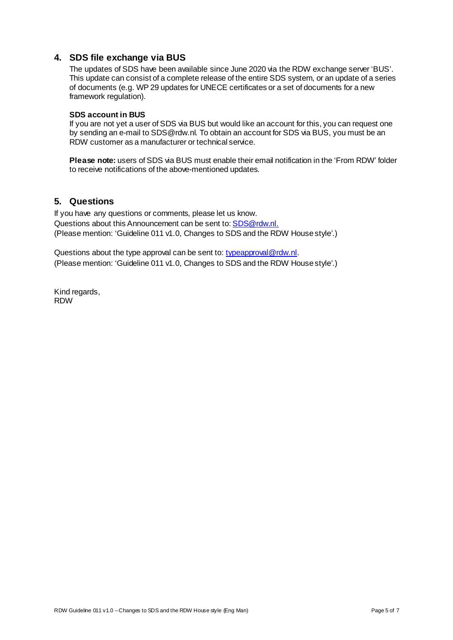## **4. SDS file exchange via BUS**

The updates of SDS have been available since June 2020 via the RDW exchange server 'BUS'. This update can consist of a complete release of the entire SDS system, or an update of a series of documents (e.g. WP 29 updates for UNECE certificates or a set of documents for a new framework regulation).

#### **SDS account in BUS**

If you are not yet a user of SDS via BUS but would like an account for this, you can request one by sending an e-mail to SDS@rdw.nl. To obtain an account for SDS via BUS, you must be an RDW customer as a manufacturer or technical service.

**Please note:** users of SDS via BUS must enable their email notification in the 'From RDW' folder to receive notifications of the above-mentioned updates.

## **5. Questions**

If you have any questions or comments, please let us know. Questions about this Announcement can be sent to[: SDS@rdw.nl](mailto:SDS@rdw.nl). (Please mention: 'Guideline 011 v1.0, Changes to SDS and the RDW House style'.)

Questions about the type approval can be sent to[: typeapproval@rdw.nl](mailto:typeapproval@rdw.nl). (Please mention: 'Guideline 011 v1.0, Changes to SDS and the RDW House style'.)

Kind regards, RDW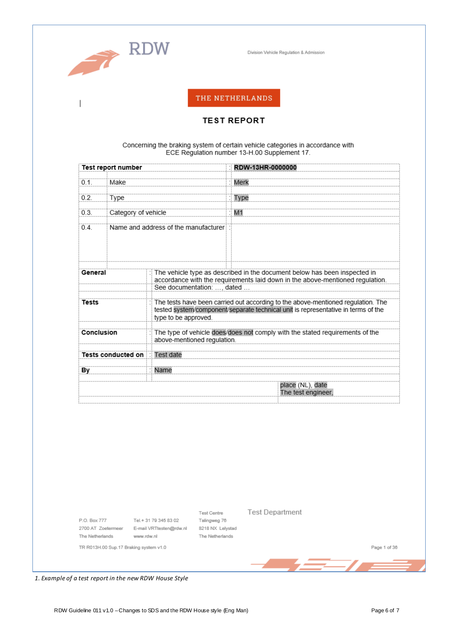

 $\overline{\phantom{a}}$ 

Division Vehicle Regulation & Admission

## THE NETHERLANDS

#### **TEST REPORT**

#### Concerning the braking system of certain vehicle categories in accordance with ECE Regulation number 13-H.00 Supplement 17.

|                                                                                                                                                                                                               | <b>Test report number</b>            |  |                                                                              |                                                                                                                                                                          | RDW-13HR-0000000                       |
|---------------------------------------------------------------------------------------------------------------------------------------------------------------------------------------------------------------|--------------------------------------|--|------------------------------------------------------------------------------|--------------------------------------------------------------------------------------------------------------------------------------------------------------------------|----------------------------------------|
| 0.1.                                                                                                                                                                                                          | Make                                 |  |                                                                              | Merk                                                                                                                                                                     |                                        |
| 0.2                                                                                                                                                                                                           | Type                                 |  |                                                                              |                                                                                                                                                                          | Type                                   |
| 0.3.                                                                                                                                                                                                          | Category of vehicle                  |  |                                                                              |                                                                                                                                                                          | M1                                     |
| 0.4.                                                                                                                                                                                                          | Name and address of the manufacturer |  |                                                                              |                                                                                                                                                                          |                                        |
| General<br>See documentation: , dated                                                                                                                                                                         |                                      |  |                                                                              | $\frac{1}{2}$ The vehicle type as described in the document below has been inspected in<br>accordance with the requirements laid down in the above-mentioned regulation. |                                        |
| The tests have been carried out according to the above-mentioned regulation. The<br><b>Tests</b><br>tested system/component/separate technical unit is representative in terms of the<br>type to be approved. |                                      |  |                                                                              |                                                                                                                                                                          |                                        |
| Conclusion<br>above-mentioned regulation.                                                                                                                                                                     |                                      |  | The type of vehicle does/does not comply with the stated requirements of the |                                                                                                                                                                          |                                        |
| <b>Test date</b><br><b>Tests conducted on</b>                                                                                                                                                                 |                                      |  |                                                                              |                                                                                                                                                                          |                                        |
| Bγ                                                                                                                                                                                                            |                                      |  | Name                                                                         |                                                                                                                                                                          |                                        |
|                                                                                                                                                                                                               |                                      |  |                                                                              |                                                                                                                                                                          | place (NL), date<br>The test engineer, |

P.O. Box 777 The Netherlands

Tel.+31 79 345 83 02 2700 AT Zoetermeer E-mail VRTtesten@rdw.nl 8218 NX Lelystad www.rdw.nl

Test Centre Talingweg 76 The Netherlands **Test Department** 

TR R013H.00 Sup.17 Braking system v1.0

Page 1 of 36

<u>and the set of the set of the set of the set of the set of the set of the set of the set of the set of the set of the set of the set of the set of the set of the set of the set of the set of the set of the set of the set </u>

1. Example of a test report in the new RDW House Style